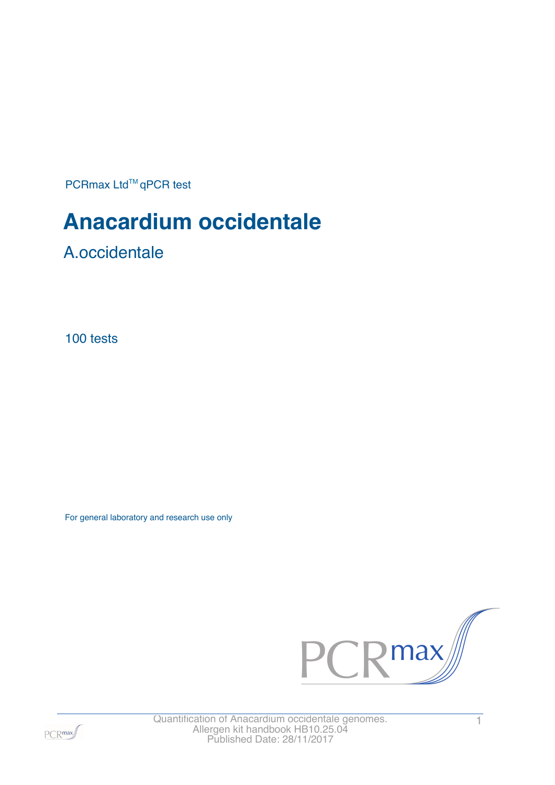PCRmax Ltd™qPCR test

# **Anacardium occidentale**

A.occidentale

100 tests

For general laboratory and research use only





Quantification of Anacardium occidentale genomes. 1 Allergen kit handbook HB10.25.04 Published Date: 28/11/2017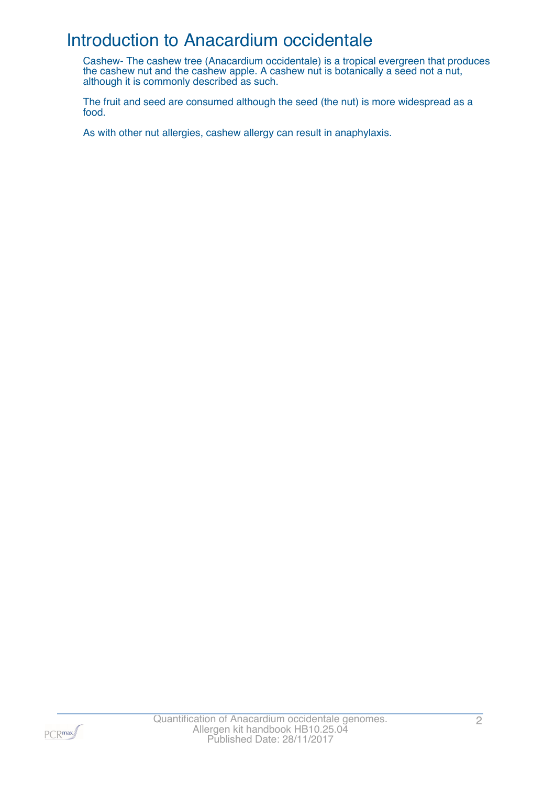### Introduction to Anacardium occidentale

Cashew- The cashew tree (Anacardium occidentale) is a tropical evergreen that produces the cashew nut and the cashew apple. A cashew nut is botanically a seed not a nut, although it is commonly described as such.

The fruit and seed are consumed although the seed (the nut) is more widespread as a food.

As with other nut allergies, cashew allergy can result in anaphylaxis.

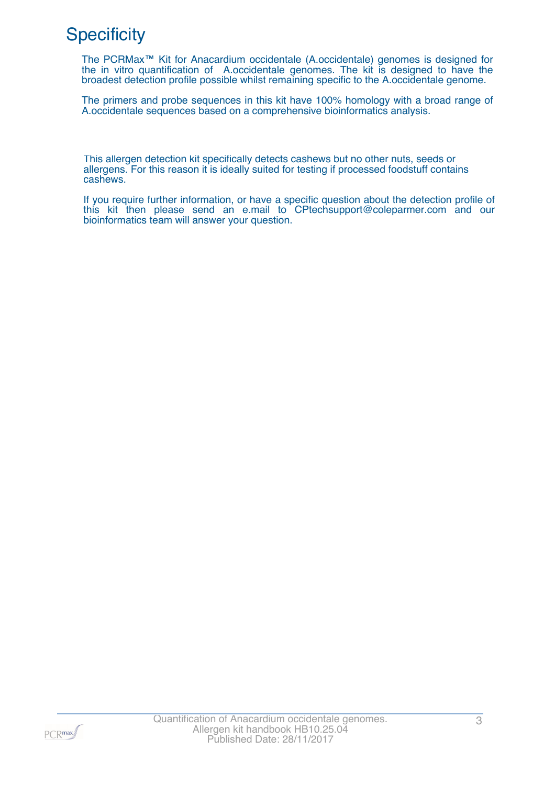# **Specificity**

The PCRMax™ Kit for Anacardium occidentale (A.occidentale) genomes is designed for the in vitro quantification of A.occidentale genomes. The kit is designed to have the broadest detection profile possible whilst remaining specific to the A.occidentale genome.

The primers and probe sequences in this kit have 100% homology with a broad range of A.occidentale sequences based on a comprehensive bioinformatics analysis.

This allergen detection kit specifically detects cashews but no other nuts, seeds or allergens. For this reason it is ideally suited for testing if processed foodstuff contains cashews.

If you require further information, or have a specific question about the detection profile of this kit then please send an e.mail to CPtechsupport@coleparmer.com and our bioinformatics team will answer your question.

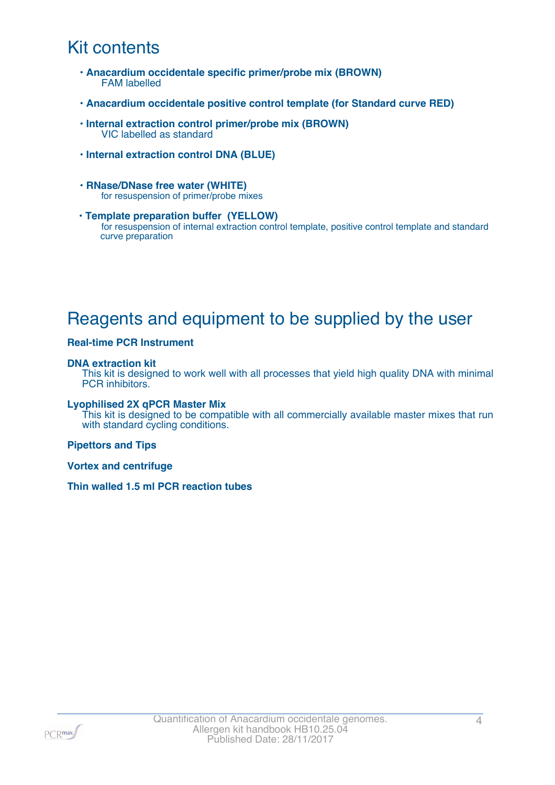# Kit contents

- **Anacardium occidentale specific primer/probe mix (BROWN)** FAM labelled
- **Anacardium occidentale positive control template (for Standard curve RED)**
- **Internal extraction control primer/probe mix (BROWN)** VIC labelled as standard
- **Internal extraction control DNA (BLUE)**
- **RNase/DNase free water (WHITE)** for resuspension of primer/probe mixes
- **Template preparation buffer (YELLOW)** for resuspension of internal extraction control template, positive control template and standard curve preparation

# Reagents and equipment to be supplied by the user

#### **Real-time PCR Instrument**

#### **DNA extraction kit**

This kit is designed to work well with all processes that yield high quality DNA with minimal PCR inhibitors.

#### **Lyophilised 2X qPCR Master Mix**

This kit is designed to be compatible with all commercially available master mixes that run with standard cycling conditions.

#### **Pipettors and Tips**

**Vortex and centrifuge**

**Thin walled 1.5 ml PCR reaction tubes**

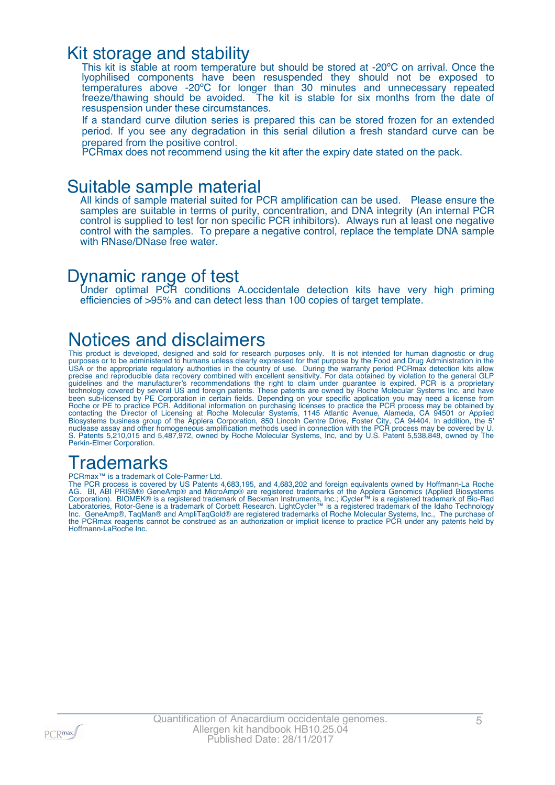### Kit storage and stability

This kit is stable at room temperature but should be stored at -20°C on arrival. Once the lyophilised components have been resuspended they should not be exposed to temperatures above -20ºC for longer than 30 minutes and unnecessary repeated freeze/thawing should be avoided. The kit is stable for six months from the date of resuspension under these circumstances.

If a standard curve dilution series is prepared this can be stored frozen for an extended period. If you see any degradation in this serial dilution a fresh standard curve can be prepared from the positive control.

PCRmax does not recommend using the kit after the expiry date stated on the pack.

### Suitable sample material

All kinds of sample material suited for PCR amplification can be used. Please ensure the samples are suitable in terms of purity, concentration, and DNA integrity (An internal PCR control is supplied to test for non specific PCR inhibitors). Always run at least one negative control with the samples. To prepare a negative control, replace the template DNA sample with RNase/DNase free water.

### Dynamic range of test

Under optimal PCR conditions A.occidentale detection kits have very high priming efficiencies of >95% and can detect less than 100 copies of target template.

### Notices and disclaimers

This product is developed, designed and sold for research purposes only. It is not intended for human diagnostic or drug purposes or to be administered to humans unless clearly expressed for that purpose by the Food and Drug Administration in the USA or the appropriate regulatory authorities in the country of use. During the warranty period PCRmax detection kits allow precise and reproducible data recovery combined with excellent sensitivity. For data obtained by violation to the general GLP guidelines and the manufacturer's recommendations the right to claim under guarantee is expired. PCR is a proprietary technology covered by several US and foreign patents. These patents are owned by Roche Molecular Systems Inc. and have been sub-licensed by PE Corporation in certain fields. Depending on your specific application you may need a license from Roche or PE to practice PCR. Additional information on purchasing licenses to practice the PCR process may be obtained by contacting the Director of Licensing at Roche Molecular Systems, 1145 Atlantic Avenue, Alameda, CA 94501 or Applied Biosystems business group of the Applera Corporation, 850 Lincoln Centre Drive, Foster City, CA 94404. In addition, the 5' nuclease assay and other homogeneous amplification methods used in connection with the PCR process may be covered by U. S. Patents 5,210,015 and 5,487,972, owned by Roche Molecular Systems, Inc, and by U.S. Patent 5,538,848, owned by The Perkin-Elmer Corporation.

# **Trademarks**

PCRmax<sup>™</sup> is a trademark of Cole-Parmer Ltd.

The PCR process is covered by US Patents 4,683,195, and 4,683,202 and foreign equivalents owned by Hoffmann-La Roche AG. BI, ABI PRISM® GeneAmp® and MicroAmp® are registered trademarks of the Applera Genomics (Applied Biosystems Corporation). BIOMEK® is a registered trademark of Beckman Instruments, Inc.; iCycler™ is a registered trademark of Bio-Rad Laboratories, Rotor-Gene is a trademark of Corbett Research. LightCycler™ is a registered trademark of the Idaho Technology Inc. GeneAmp®, TaqMan® and AmpliTaqGold® are registered trademarks of Roche Molecular Systems, Inc., The purchase of the PCRmax reagents cannot be construed as an authorization or implicit license to practice PCR under any patents held by Hoffmann-LaRoche Inc.

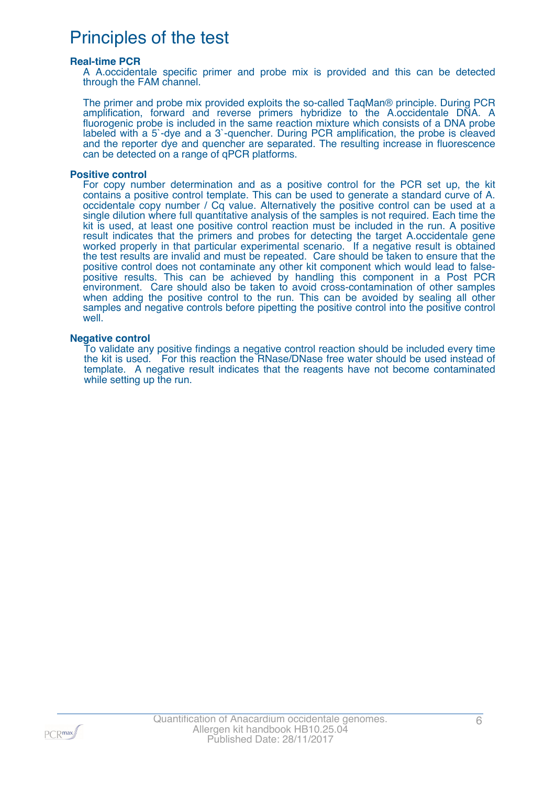# Principles of the test

#### **Real-time PCR**

A A.occidentale specific primer and probe mix is provided and this can be detected through the FAM channel.

The primer and probe mix provided exploits the so-called TaqMan® principle. During PCR amplification, forward and reverse primers hybridize to the A.occidentale DNA. A fluorogenic probe is included in the same reaction mixture which consists of a DNA probe labeled with a 5`-dye and a 3`-quencher. During PCR amplification, the probe is cleaved and the reporter dye and quencher are separated. The resulting increase in fluorescence can be detected on a range of qPCR platforms.

#### **Positive control**

For copy number determination and as a positive control for the PCR set up, the kit contains a positive control template. This can be used to generate a standard curve of A. occidentale copy number / Cq value. Alternatively the positive control can be used at a single dilution where full quantitative analysis of the samples is not required. Each time the kit is used, at least one positive control reaction must be included in the run. A positive result indicates that the primers and probes for detecting the target A.occidentale gene worked properly in that particular experimental scenario. If a negative result is obtained the test results are invalid and must be repeated. Care should be taken to ensure that the positive control does not contaminate any other kit component which would lead to falsepositive results. This can be achieved by handling this component in a Post PCR environment. Care should also be taken to avoid cross-contamination of other samples when adding the positive control to the run. This can be avoided by sealing all other samples and negative controls before pipetting the positive control into the positive control well.

#### **Negative control**

To validate any positive findings a negative control reaction should be included every time the kit is used. For this reaction the RNase/DNase free water should be used instead of template. A negative result indicates that the reagents have not become contaminated while setting up the run.

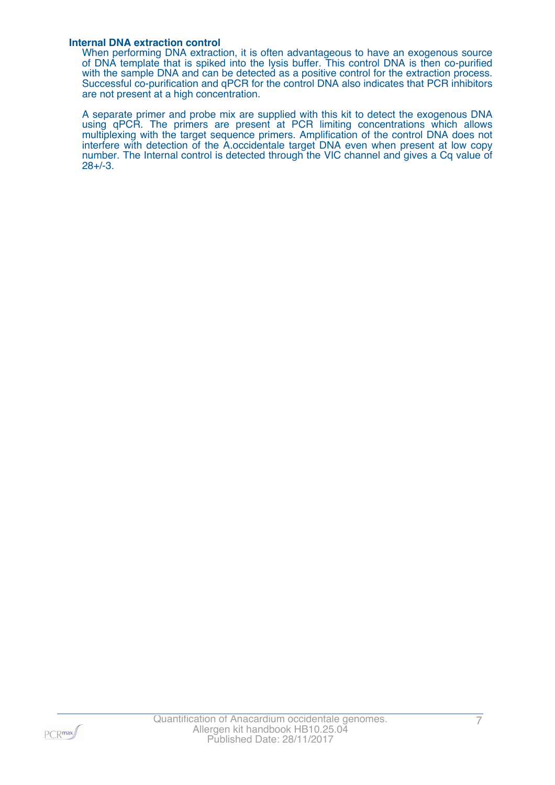#### **Internal DNA extraction control**

When performing DNA extraction, it is often advantageous to have an exogenous source of DNA template that is spiked into the lysis buffer. This control DNA is then co-purified with the sample DNA and can be detected as a positive control for the extraction process. Successful co-purification and qPCR for the control DNA also indicates that PCR inhibitors are not present at a high concentration.

A separate primer and probe mix are supplied with this kit to detect the exogenous DNA using qPCR. The primers are present at PCR limiting concentrations which allows multiplexing with the target sequence primers. Amplification of the control DNA does not interfere with detection of the A.occidentale target DNA even when present at low copy number. The Internal control is detected through the VIC channel and gives a Cq value of 28+/-3.

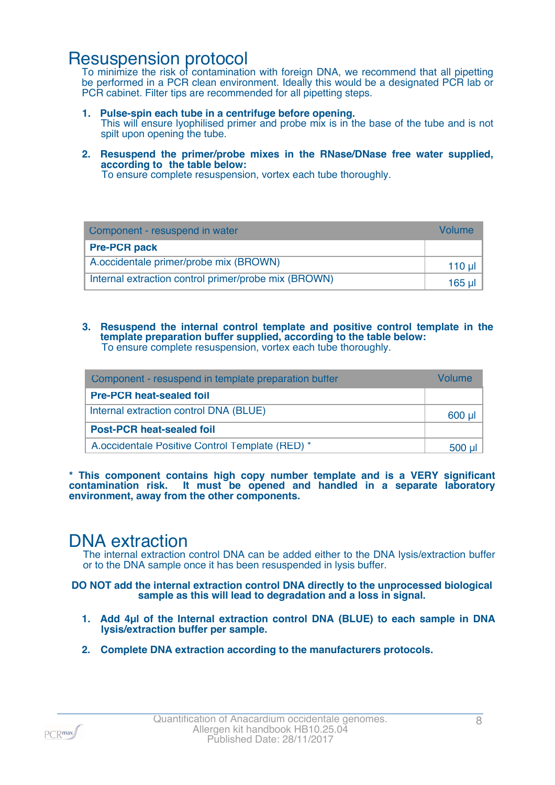### Resuspension protocol

To minimize the risk of contamination with foreign DNA, we recommend that all pipetting be performed in a PCR clean environment. Ideally this would be a designated PCR lab or PCR cabinet. Filter tips are recommended for all pipetting steps.

**1. Pulse-spin each tube in a centrifuge before opening.**

This will ensure lyophilised primer and probe mix is in the base of the tube and is not spilt upon opening the tube.

**2. Resuspend the primer/probe mixes in the RNase/DNase free water supplied, according to the table below:**

To ensure complete resuspension, vortex each tube thoroughly.

| Component - resuspend in water                       | Volume  |
|------------------------------------------------------|---------|
| <b>Pre-PCR pack</b>                                  |         |
| A.occidentale primer/probe mix (BROWN)               | $110$ µ |
| Internal extraction control primer/probe mix (BROWN) | 165 µl  |

#### **3. Resuspend the internal control template and positive control template in the template preparation buffer supplied, according to the table below:** To ensure complete resuspension, vortex each tube thoroughly.

| Component - resuspend in template preparation buffer | <i><u><b>Jolumer</b></u></i> |
|------------------------------------------------------|------------------------------|
| <b>Pre-PCR heat-sealed foil</b>                      |                              |
| Internal extraction control DNA (BLUE)               | $600$ µ                      |
| <b>Post-PCR heat-sealed foil</b>                     |                              |
| A.occidentale Positive Control Template (RED) *      | 500                          |

**\* This component contains high copy number template and is a VERY significant contamination risk. It must be opened and handled in a separate laboratory environment, away from the other components.**

### DNA extraction

The internal extraction control DNA can be added either to the DNA lysis/extraction buffer or to the DNA sample once it has been resuspended in lysis buffer.

#### **DO NOT add the internal extraction control DNA directly to the unprocessed biological sample as this will lead to degradation and a loss in signal.**

- **1. Add 4µl of the Internal extraction control DNA (BLUE) to each sample in DNA lysis/extraction buffer per sample.**
- **2. Complete DNA extraction according to the manufacturers protocols.**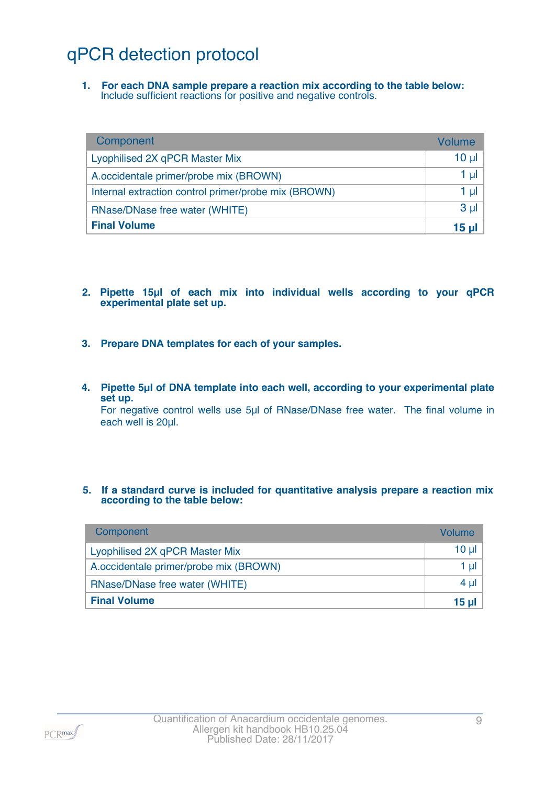# qPCR detection protocol

**1. For each DNA sample prepare a reaction mix according to the table below:** Include sufficient reactions for positive and negative controls.

| Component                                            | <b>Volume</b> |
|------------------------------------------------------|---------------|
| Lyophilised 2X qPCR Master Mix                       | $10 \mu$      |
| A.occidentale primer/probe mix (BROWN)               | 1 µI          |
| Internal extraction control primer/probe mix (BROWN) | 1 $\mu$       |
| RNase/DNase free water (WHITE)                       | $3 \mu$       |
| <b>Final Volume</b>                                  | 15 ul 1       |

- **2. Pipette 15µl of each mix into individual wells according to your qPCR experimental plate set up.**
- **3. Prepare DNA templates for each of your samples.**
- **4. Pipette 5µl of DNA template into each well, according to your experimental plate set up.** For negative control wells use 5µl of RNase/DNase free water. The final volume in

each well is 20µl.

#### **5. If a standard curve is included for quantitative analysis prepare a reaction mix according to the table below:**

| Component                              | <b>Volume</b> |
|----------------------------------------|---------------|
| Lyophilised 2X qPCR Master Mix         | $10 \mu$      |
| A.occidentale primer/probe mix (BROWN) | 1 ul 1        |
| RNase/DNase free water (WHITE)         | 4 ul 1        |
| <b>Final Volume</b>                    | 15 ul 1       |

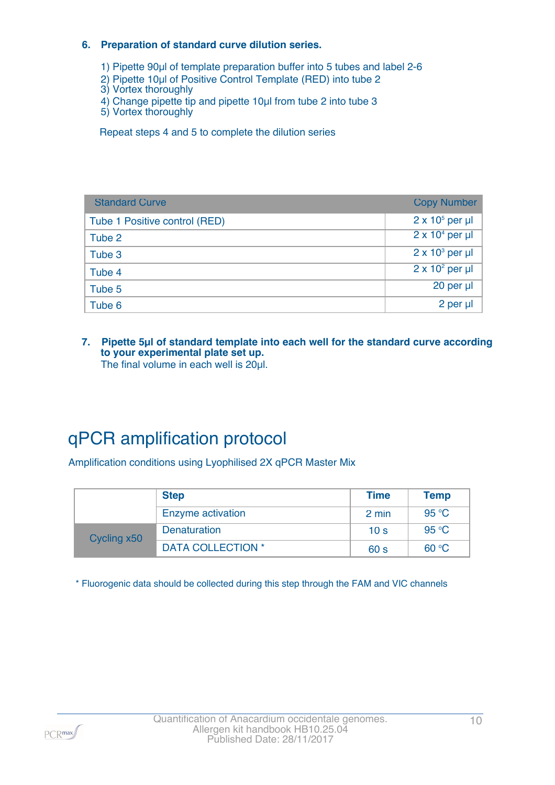#### **6. Preparation of standard curve dilution series.**

1) Pipette 90µl of template preparation buffer into 5 tubes and label 2-6

- 2) Pipette 10µl of Positive Control Template (RED) into tube 2
- 3) Vortex thoroughly
- 4) Change pipette tip and pipette 10µl from tube 2 into tube 3
- 5) Vortex thoroughly

Repeat steps 4 and 5 to complete the dilution series

| <b>Standard Curve</b>         | <b>Copy Number</b>     |
|-------------------------------|------------------------|
| Tube 1 Positive control (RED) | $2 \times 10^5$ per µl |
| Tube 2                        | $2 \times 10^4$ per µl |
| Tube 3                        | $2 \times 10^3$ per µl |
| Tube 4                        | $2 \times 10^2$ per µl |
| Tube 5                        | $20$ per $\mu$         |
| Tube 6                        | 2 per µl               |

**7. Pipette 5µl of standard template into each well for the standard curve according to your experimental plate set up.** The final volume in each well is 20µl.

# qPCR amplification protocol

Amplification conditions using Lyophilised 2X qPCR Master Mix

|             | <b>Step</b>              | <b>Time</b>     | <b>Temp</b> |
|-------------|--------------------------|-----------------|-------------|
|             | Enzyme activation        | 2 min           | 95 °C       |
| Cycling x50 | Denaturation             | 10 <sub>s</sub> | 95 °C       |
|             | <b>DATA COLLECTION *</b> | 60 <sub>s</sub> | 60 °C       |

\* Fluorogenic data should be collected during this step through the FAM and VIC channels